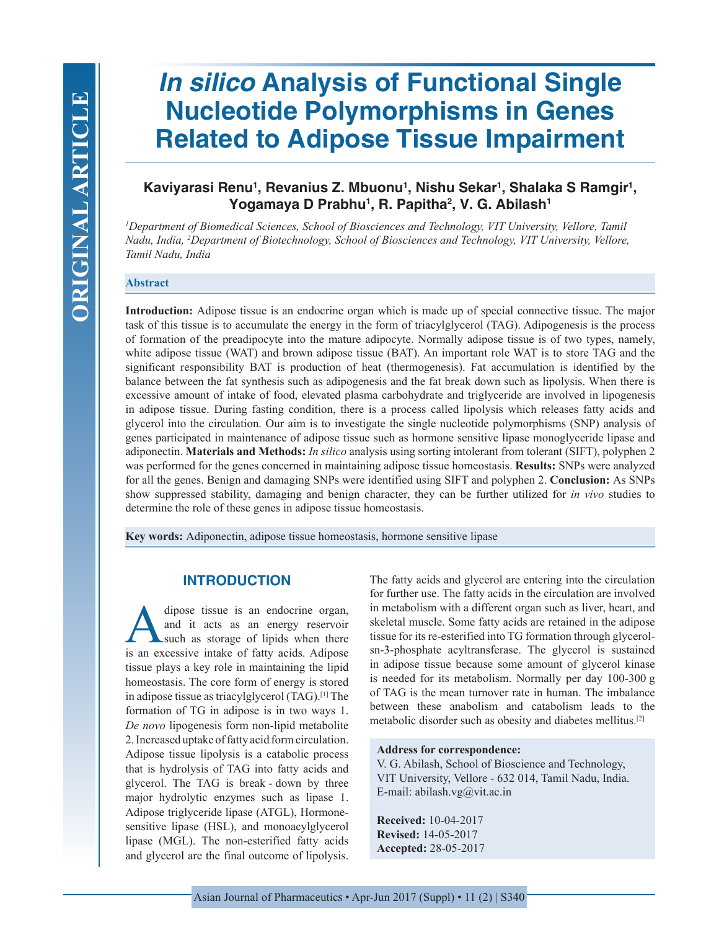# *In silico* **Analysis of Functional Single Nucleotide Polymorphisms in Genes Related to Adipose Tissue Impairment**

## Kaviyarasi Renu<sup>1</sup>, Revanius Z. Mbuonu<sup>1</sup>, Nishu Sekar<sup>1</sup>, Shalaka S Ramgir<sup>1</sup>, **Yogamaya D Prabhu1 , R. Papitha2 , V. G. Abilash1**

*1 Department of Biomedical Sciences, School of Biosciences and Technology, VIT University, Vellore, Tamil Nadu, India, 2 Department of Biotechnology, School of Biosciences and Technology, VIT University, Vellore, Tamil Nadu, India*

#### **Abstract**

**Introduction:** Adipose tissue is an endocrine organ which is made up of special connective tissue. The major task of this tissue is to accumulate the energy in the form of triacylglycerol (TAG). Adipogenesis is the process of formation of the preadipocyte into the mature adipocyte. Normally adipose tissue is of two types, namely, white adipose tissue (WAT) and brown adipose tissue (BAT). An important role WAT is to store TAG and the significant responsibility BAT is production of heat (thermogenesis). Fat accumulation is identified by the balance between the fat synthesis such as adipogenesis and the fat break down such as lipolysis. When there is excessive amount of intake of food, elevated plasma carbohydrate and triglyceride are involved in lipogenesis in adipose tissue. During fasting condition, there is a process called lipolysis which releases fatty acids and glycerol into the circulation. Our aim is to investigate the single nucleotide polymorphisms (SNP) analysis of genes participated in maintenance of adipose tissue such as hormone sensitive lipase monoglyceride lipase and adiponectin. **Materials and Methods:** *In silico* analysis using sorting intolerant from tolerant (SIFT), polyphen 2 was performed for the genes concerned in maintaining adipose tissue homeostasis. **Results:** SNPs were analyzed for all the genes. Benign and damaging SNPs were identified using SIFT and polyphen 2. **Conclusion:** As SNPs show suppressed stability, damaging and benign character, they can be further utilized for *in vivo* studies to determine the role of these genes in adipose tissue homeostasis.

**Key words:** Adiponectin, adipose tissue homeostasis, hormone sensitive lipase

## **INTRODUCTION**

dipose tissue is an endocrine organ,<br>and it acts as an energy reservoir<br>such as storage of lipids when there<br>is an excessive intake of fatty acids. Adinose and it acts as an energy reservoir such as storage of lipids when there is an excessive intake of fatty acids. Adipose tissue plays a key role in maintaining the lipid homeostasis. The core form of energy is stored in adipose tissue as triacylglycerol (TAG).[1] The formation of TG in adipose is in two ways 1. *De novo* lipogenesis form non-lipid metabolite 2. Increased uptake of fatty acid form circulation. Adipose tissue lipolysis is a catabolic process that is hydrolysis of TAG into fatty acids and glycerol. The TAG is break - down by three major hydrolytic enzymes such as lipase 1. Adipose triglyceride lipase (ATGL), Hormonesensitive lipase (HSL), and monoacylglycerol lipase (MGL). The non-esterified fatty acids and glycerol are the final outcome of lipolysis.

The fatty acids and glycerol are entering into the circulation for further use. The fatty acids in the circulation are involved in metabolism with a different organ such as liver, heart, and skeletal muscle. Some fatty acids are retained in the adipose tissue for its re-esterified into TG formation through glycerolsn-3-phosphate acyltransferase. The glycerol is sustained in adipose tissue because some amount of glycerol kinase is needed for its metabolism. Normally per day 100-300 g of TAG is the mean turnover rate in human. The imbalance between these anabolism and catabolism leads to the metabolic disorder such as obesity and diabetes mellitus.<sup>[2]</sup>

#### **Address for correspondence:**

V. G. Abilash, School of Bioscience and Technology, VIT University, Vellore - 632 014, Tamil Nadu, India. E-mail: abilash.vg@vit.ac.in

**Received:** 10-04-2017 **Revised:** 14-05-2017 **Accepted:** 28-05-2017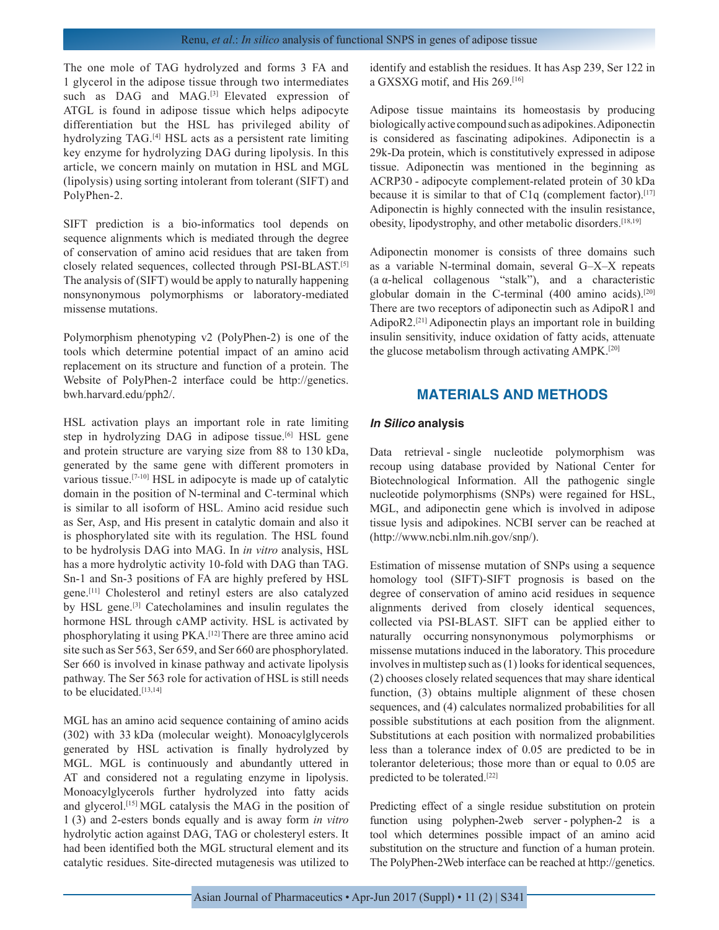The one mole of TAG hydrolyzed and forms 3 FA and 1 glycerol in the adipose tissue through two intermediates such as DAG and MAG.<sup>[3]</sup> Elevated expression of ATGL is found in adipose tissue which helps adipocyte differentiation but the HSL has privileged ability of hydrolyzing TAG.[4] HSL acts as a persistent rate limiting key enzyme for hydrolyzing DAG during lipolysis. In this article, we concern mainly on mutation in HSL and MGL (lipolysis) using sorting intolerant from tolerant (SIFT) and PolyPhen-2.

SIFT prediction is a bio-informatics tool depends on sequence alignments which is mediated through the degree of conservation of amino acid residues that are taken from closely related sequences, collected through PSI-BLAST.[5] The analysis of (SIFT) would be apply to naturally happening nonsynonymous polymorphisms or laboratory-mediated missense mutations.

Polymorphism phenotyping v2 (PolyPhen-2) is one of the tools which determine potential impact of an amino acid replacement on its structure and function of a protein. The Website of PolyPhen-2 interface could be http://genetics. bwh.harvard.edu/pph2/.

HSL activation plays an important role in rate limiting step in hydrolyzing DAG in adipose tissue.<sup>[6]</sup> HSL gene and protein structure are varying size from 88 to 130 kDa, generated by the same gene with different promoters in various tissue.[7-10] HSL in adipocyte is made up of catalytic domain in the position of N-terminal and C-terminal which is similar to all isoform of HSL. Amino acid residue such as Ser, Asp, and His present in catalytic domain and also it is phosphorylated site with its regulation. The HSL found to be hydrolysis DAG into MAG. In *in vitro* analysis, HSL has a more hydrolytic activity 10-fold with DAG than TAG. Sn-1 and Sn-3 positions of FA are highly prefered by HSL gene.[11] Cholesterol and retinyl esters are also catalyzed by HSL gene.[3] Catecholamines and insulin regulates the hormone HSL through cAMP activity. HSL is activated by phosphorylating it using PKA.[12] There are three amino acid site such as Ser 563, Ser 659, and Ser 660 are phosphorylated. Ser 660 is involved in kinase pathway and activate lipolysis pathway. The Ser 563 role for activation of HSL is still needs to be elucidated.<sup>[13,14]</sup>

MGL has an amino acid sequence containing of amino acids (302) with 33 kDa (molecular weight). Monoacylglycerols generated by HSL activation is finally hydrolyzed by MGL. MGL is continuously and abundantly uttered in AT and considered not a regulating enzyme in lipolysis. Monoacylglycerols further hydrolyzed into fatty acids and glycerol.[15] MGL catalysis the MAG in the position of 1 (3) and 2-esters bonds equally and is away form *in vitro*  hydrolytic action against DAG, TAG or cholesteryl esters. It had been identified both the MGL structural element and its catalytic residues. Site-directed mutagenesis was utilized to

identify and establish the residues. It has Asp 239, Ser 122 in a GXSXG motif, and His 269.[16]

Adipose tissue maintains its homeostasis by producing biologically active compound such as adipokines. Adiponectin is considered as fascinating adipokines. Adiponectin is a 29k-Da protein, which is constitutively expressed in adipose tissue. Adiponectin was mentioned in the beginning as ACRP30 - adipocyte complement-related protein of 30 kDa because it is similar to that of C1q (complement factor).<sup>[17]</sup> Adiponectin is highly connected with the insulin resistance, obesity, lipodystrophy, and other metabolic disorders.[18,19]

Adiponectin monomer is consists of three domains such as a variable N-terminal domain, several G–X–X repeats (a α-helical collagenous "stalk"), and a characteristic globular domain in the C-terminal  $(400 \text{ amino acids})$ .<sup>[20]</sup> There are two receptors of adiponectin such as AdipoR1 and AdipoR2.[21] Adiponectin plays an important role in building insulin sensitivity, induce oxidation of fatty acids, attenuate the glucose metabolism through activating AMPK.[20]

## **MATERIALS AND METHODS**

#### *In Silico* **analysis**

Data retrieval - single nucleotide polymorphism was recoup using database provided by National Center for Biotechnological Information. All the pathogenic single nucleotide polymorphisms (SNPs) were regained for HSL, MGL, and adiponectin gene which is involved in adipose tissue lysis and adipokines. NCBI server can be reached at (http://www.ncbi.nlm.nih.gov/snp/).

Estimation of missense mutation of SNPs using a sequence homology tool (SIFT)-SIFT prognosis is based on the degree of conservation of amino acid residues in sequence alignments derived from closely identical sequences, collected via PSI-BLAST. SIFT can be applied either to naturally occurring nonsynonymous polymorphisms or missense mutations induced in the laboratory. This procedure involves in multistep such as (1) looks for identical sequences, (2) chooses closely related sequences that may share identical function, (3) obtains multiple alignment of these chosen sequences, and (4) calculates normalized probabilities for all possible substitutions at each position from the alignment. Substitutions at each position with normalized probabilities less than a tolerance index of 0.05 are predicted to be in tolerantor deleterious; those more than or equal to 0.05 are predicted to be tolerated.[22]

Predicting effect of a single residue substitution on protein function using polyphen-2web server - polyphen-2 is a tool which determines possible impact of an amino acid substitution on the structure and function of a human protein. The PolyPhen-2Web interface can be reached at http://genetics.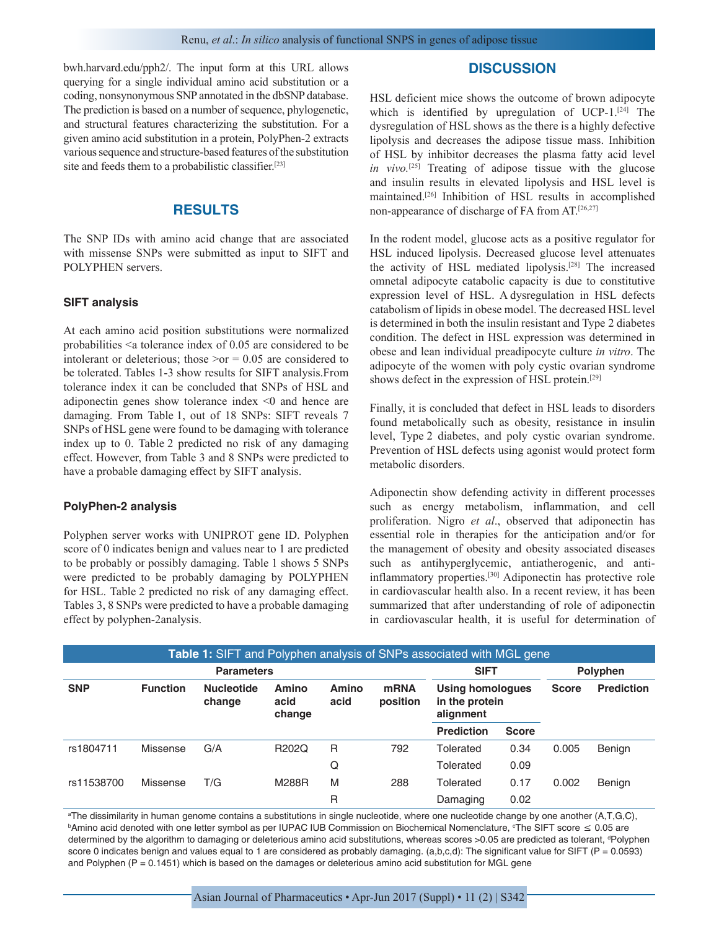bwh.harvard.edu/pph2/. The input form at this URL allows querying for a single individual amino acid substitution or a coding, nonsynonymous SNP annotated in the dbSNP database. The prediction is based on a number of sequence, phylogenetic, and structural features characterizing the substitution. For a given amino acid substitution in a protein, PolyPhen-2 extracts various sequence and structure-based features of the substitution site and feeds them to a probabilistic classifier.[23]

## **RESULTS**

The SNP IDs with amino acid change that are associated with missense SNPs were submitted as input to SIFT and POLYPHEN servers.

#### **SIFT analysis**

At each amino acid position substitutions were normalized probabilities <a tolerance index of 0.05 are considered to be intolerant or deleterious; those  $\geq$  or = 0.05 are considered to be tolerated. Tables 1-3 show results for SIFT analysis.From tolerance index it can be concluded that SNPs of HSL and adiponectin genes show tolerance index <0 and hence are damaging. From Table 1, out of 18 SNPs: SIFT reveals 7 SNPs of HSL gene were found to be damaging with tolerance index up to 0. Table 2 predicted no risk of any damaging effect. However, from Table 3 and 8 SNPs were predicted to have a probable damaging effect by SIFT analysis.

#### **PolyPhen-2 analysis**

Polyphen server works with UNIPROT gene ID. Polyphen score of 0 indicates benign and values near to 1 are predicted to be probably or possibly damaging. Table 1 shows 5 SNPs were predicted to be probably damaging by POLYPHEN for HSL. Table 2 predicted no risk of any damaging effect. Tables 3, 8 SNPs were predicted to have a probable damaging effect by polyphen-2analysis.

### **DISCUSSION**

HSL deficient mice shows the outcome of brown adipocyte which is identified by upregulation of UCP-1.<sup>[24]</sup> The dysregulation of HSL shows as the there is a highly defective lipolysis and decreases the adipose tissue mass. Inhibition of HSL by inhibitor decreases the plasma fatty acid level *in vivo.*[25] Treating of adipose tissue with the glucose and insulin results in elevated lipolysis and HSL level is maintained.[26] Inhibition of HSL results in accomplished non-appearance of discharge of FA from AT.[26,27]

In the rodent model, glucose acts as a positive regulator for HSL induced lipolysis. Decreased glucose level attenuates the activity of HSL mediated lipolysis.[28] The increased omnetal adipocyte catabolic capacity is due to constitutive expression level of HSL. A dysregulation in HSL defects catabolism of lipids in obese model. The decreased HSL level is determined in both the insulin resistant and Type 2 diabetes condition. The defect in HSL expression was determined in obese and lean individual preadipocyte culture *in vitro*. The adipocyte of the women with poly cystic ovarian syndrome shows defect in the expression of HSL protein.[29]

Finally, it is concluded that defect in HSL leads to disorders found metabolically such as obesity, resistance in insulin level, Type 2 diabetes, and poly cystic ovarian syndrome. Prevention of HSL defects using agonist would protect form metabolic disorders.

Adiponectin show defending activity in different processes such as energy metabolism, inflammation, and cell proliferation. Nigro *et al*., observed that adiponectin has essential role in therapies for the anticipation and/or for the management of obesity and obesity associated diseases such as antihyperglycemic, antiatherogenic, and antiinflammatory properties.[30] Adiponectin has protective role in cardiovascular health also. In a recent review, it has been summarized that after understanding of role of adiponectin in cardiovascular health, it is useful for determination of

| <b>Table 1:</b> SIFT and Polyphen analysis of SNPs associated with MGL gene |                 |                             |                         |               |                         |                                                 |              |              |                   |
|-----------------------------------------------------------------------------|-----------------|-----------------------------|-------------------------|---------------|-------------------------|-------------------------------------------------|--------------|--------------|-------------------|
|                                                                             | <b>SIFT</b>     |                             | Polyphen                |               |                         |                                                 |              |              |                   |
| <b>SNP</b>                                                                  | <b>Function</b> | <b>Nucleotide</b><br>change | Amino<br>acid<br>change | Amino<br>acid | <b>mRNA</b><br>position | Using homologues<br>in the protein<br>alignment |              | <b>Score</b> | <b>Prediction</b> |
|                                                                             |                 |                             |                         |               |                         | <b>Prediction</b>                               | <b>Score</b> |              |                   |
| rs1804711                                                                   | Missense        | G/A                         | R202Q                   | R             | 792                     | Tolerated                                       | 0.34         | 0.005        | <b>Benign</b>     |
|                                                                             |                 |                             |                         | Q             |                         | Tolerated                                       | 0.09         |              |                   |
| rs11538700                                                                  | Missense        | T/G                         | M288R                   | M             | 288                     | Tolerated                                       | 0.17         | 0.002        | <b>Benign</b>     |
|                                                                             |                 |                             |                         | R             |                         | Damaging                                        | 0.02         |              |                   |

a The dissimilarity in human genome contains a substitutions in single nucleotide, where one nucleotide change by one another (A,T,G,C), <sup>b</sup>Amino acid denoted with one letter symbol as per IUPAC IUB Commission on Biochemical Nomenclature, °The SIFT score ≤ 0.05 are determined by the algorithm to damaging or deleterious amino acid substitutions, whereas scores >0.05 are predicted as tolerant, <sup>a</sup>Polyphen score 0 indicates benign and values equal to 1 are considered as probably damaging. (a,b,c,d): The significant value for SIFT (P = 0.0593) and Polyphen (P = 0.1451) which is based on the damages or deleterious amino acid substitution for MGL gene

Asian Journal of Pharmaceutics • Apr-Jun 2017 (Suppl) • 11 (2) | S342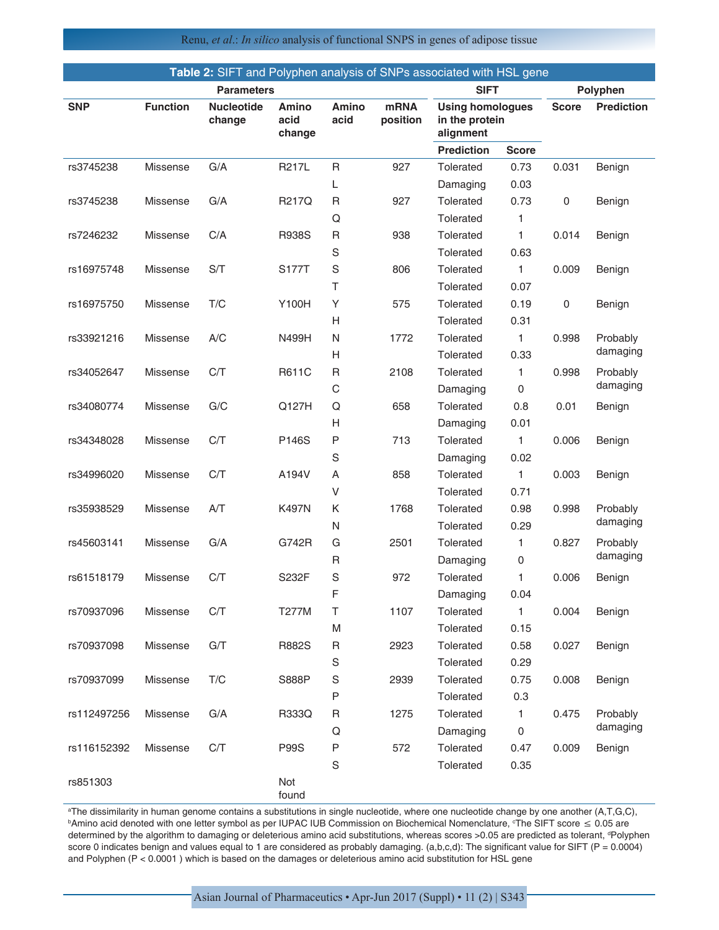Renu, *et al*.: *In silico* analysis of functional SNPS in genes of adipose tissue

| Table 2: SIFT and Polyphen analysis of SNPs associated with HSL gene |                   |                             |                                |                      |                         |                                                        |              |              |                   |
|----------------------------------------------------------------------|-------------------|-----------------------------|--------------------------------|----------------------|-------------------------|--------------------------------------------------------|--------------|--------------|-------------------|
|                                                                      | <b>Parameters</b> |                             |                                |                      |                         | <b>SIFT</b>                                            |              | Polyphen     |                   |
| <b>SNP</b>                                                           | <b>Function</b>   | <b>Nucleotide</b><br>change | <b>Amino</b><br>acid<br>change | <b>Amino</b><br>acid | <b>mRNA</b><br>position | <b>Using homologues</b><br>in the protein<br>alignment |              | <b>Score</b> | <b>Prediction</b> |
|                                                                      |                   |                             |                                |                      |                         | <b>Prediction</b>                                      | <b>Score</b> |              |                   |
| rs3745238                                                            | <b>Missense</b>   | G/A                         | R217L                          | R                    | 927                     | Tolerated                                              | 0.73         | 0.031        | Benign            |
|                                                                      |                   |                             |                                | L                    |                         | Damaging                                               | 0.03         |              |                   |
| rs3745238                                                            | Missense          | G/A                         | R217Q                          | R                    | 927                     | Tolerated                                              | 0.73         | 0            | Benign            |
|                                                                      |                   |                             |                                | Q                    |                         | Tolerated                                              | 1            |              |                   |
| rs7246232                                                            | <b>Missense</b>   | C/A                         | <b>R938S</b>                   | R                    | 938                     | Tolerated                                              | 1            | 0.014        | Benign            |
|                                                                      |                   |                             |                                | S                    |                         | Tolerated                                              | 0.63         |              |                   |
| rs16975748                                                           | Missense          | S/T                         | S177T                          | S                    | 806                     | Tolerated                                              | $\mathbf{1}$ | 0.009        | Benign            |
|                                                                      |                   |                             |                                | $\top$               |                         | Tolerated                                              | 0.07         |              |                   |
| rs16975750                                                           | <b>Missense</b>   | T/C                         | Y100H                          | Y                    | 575                     | Tolerated                                              | 0.19         | 0            | Benign            |
|                                                                      |                   |                             |                                | н                    |                         | Tolerated                                              | 0.31         |              |                   |
| rs33921216                                                           | Missense          | A/C                         | N499H                          | N                    | 1772                    | Tolerated                                              | 1            | 0.998        | Probably          |
|                                                                      |                   |                             |                                | Н                    |                         | Tolerated                                              | 0.33         |              | damaging          |
| rs34052647                                                           | Missense          | C/T                         | R611C                          | R                    | 2108                    | Tolerated                                              | 1            | 0.998        | Probably          |
|                                                                      |                   |                             |                                | $\mathsf{C}$         |                         | Damaging                                               | 0            |              | damaging          |
| rs34080774                                                           | <b>Missense</b>   | G/C                         | Q127H                          | Q                    | 658                     | Tolerated                                              | 0.8          | 0.01         | Benign            |
|                                                                      |                   |                             |                                | н                    |                         | Damaging                                               | 0.01         |              |                   |
| rs34348028                                                           | Missense          | C/T                         | P146S                          | Ρ                    | 713                     | Tolerated                                              | $\mathbf{1}$ | 0.006        | Benign            |
|                                                                      |                   |                             |                                | S                    |                         | Damaging                                               | 0.02         |              |                   |
| rs34996020                                                           | <b>Missense</b>   | C/T                         | A194V                          | Α                    | 858                     | Tolerated                                              | 1            | 0.003        | Benign            |
|                                                                      |                   |                             |                                | V                    |                         | Tolerated                                              | 0.71         |              |                   |
| rs35938529                                                           | Missense          | A/T                         | K497N                          | Κ                    | 1768                    | Tolerated                                              | 0.98         | 0.998        | Probably          |
|                                                                      |                   |                             |                                | N                    |                         | Tolerated                                              | 0.29         |              | damaging          |
| rs45603141                                                           | Missense          | G/A                         | G742R                          | G                    | 2501                    | Tolerated                                              | 1            | 0.827        | Probably          |
|                                                                      |                   |                             |                                | R                    |                         | Damaging                                               | 0            |              | damaging          |
| rs61518179                                                           | Missense          | C/T                         | S232F                          | S                    | 972                     | Tolerated                                              | 1            | 0.006        | Benign            |
|                                                                      |                   |                             |                                | F                    |                         | Damaging                                               | 0.04         |              |                   |
| rs70937096                                                           | Missense          | C/T                         | T277M                          | Τ                    | 1107                    | Tolerated                                              | 1            | 0.004        | Benign            |
|                                                                      |                   |                             |                                | M                    |                         | Tolerated                                              | 0.15         |              |                   |
| rs70937098                                                           | Missense          | G/T                         | R882S                          | R                    | 2923                    | Tolerated                                              | 0.58         | 0.027        | Benign            |
|                                                                      |                   |                             |                                | S                    |                         | Tolerated                                              | 0.29         |              |                   |
| rs70937099                                                           | Missense          | T/C                         | S888P                          | S                    | 2939                    | Tolerated                                              | 0.75         | 0.008        | Benign            |
|                                                                      |                   |                             |                                | P                    |                         | Tolerated                                              | 0.3          |              |                   |
| rs112497256                                                          | Missense          | G/A                         | R333Q                          | R                    | 1275                    | Tolerated                                              | $\mathbf{1}$ | 0.475        | Probably          |
|                                                                      |                   |                             |                                | Q                    |                         | Damaging                                               | 0            |              | damaging          |
| rs116152392                                                          | Missense          | C/T                         | <b>P99S</b>                    | P                    | 572                     | Tolerated                                              | 0.47         | 0.009        | Benign            |
|                                                                      |                   |                             |                                | $\mathsf S$          |                         | Tolerated                                              | 0.35         |              |                   |
| rs851303                                                             |                   |                             | Not<br>found                   |                      |                         |                                                        |              |              |                   |

a The dissimilarity in human genome contains a substitutions in single nucleotide, where one nucleotide change by one another (A,T,G,C), <sup>b</sup>Amino acid denoted with one letter symbol as per IUPAC IUB Commission on Biochemical Nomenclature, °The SIFT score ≤ 0.05 are determined by the algorithm to damaging or deleterious amino acid substitutions, whereas scores >0.05 are predicted as tolerant, <sup>a</sup>Polyphen score 0 indicates benign and values equal to 1 are considered as probably damaging. (a,b,c,d): The significant value for SIFT (P = 0.0004) and Polyphen (P < 0.0001 ) which is based on the damages or deleterious amino acid substitution for HSL gene

Asian Journal of Pharmaceutics • Apr-Jun 2017 (Suppl) • 11 (2) | S343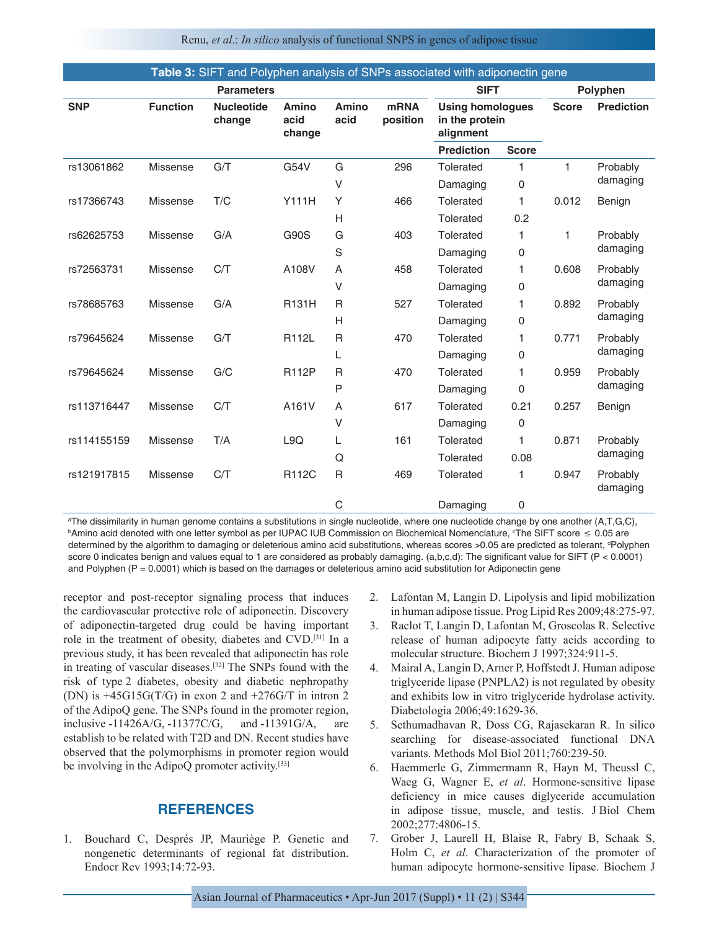Renu, *et al*.: *In silico* analysis of functional SNPS in genes of adipose tissue

| <b>Table 3:</b> SIFT and Polyphen analysis of SNPs associated with adiponectin gene |                 |                             |                                |                      |                         |                                                        |              |              |                      |  |
|-------------------------------------------------------------------------------------|-----------------|-----------------------------|--------------------------------|----------------------|-------------------------|--------------------------------------------------------|--------------|--------------|----------------------|--|
| <b>Parameters</b>                                                                   |                 |                             |                                |                      |                         | <b>SIFT</b>                                            |              | Polyphen     |                      |  |
| <b>SNP</b>                                                                          | <b>Function</b> | <b>Nucleotide</b><br>change | <b>Amino</b><br>acid<br>change | <b>Amino</b><br>acid | <b>mRNA</b><br>position | <b>Using homologues</b><br>in the protein<br>alignment |              | <b>Score</b> | <b>Prediction</b>    |  |
|                                                                                     |                 |                             |                                |                      |                         | <b>Prediction</b>                                      | <b>Score</b> |              |                      |  |
| rs13061862                                                                          | Missense        | G/T                         | G54V                           | G                    | 296                     | Tolerated                                              | 1            | $\mathbf{1}$ | Probably<br>damaging |  |
|                                                                                     |                 |                             |                                | V                    |                         | Damaging                                               | 0            |              |                      |  |
| rs17366743                                                                          | <b>Missense</b> | T/C                         | <b>Y111H</b>                   | Y                    | 466                     | Tolerated                                              | 1            | 0.012        | Benign               |  |
|                                                                                     |                 |                             |                                | H                    |                         | Tolerated                                              | 0.2          |              |                      |  |
| rs62625753                                                                          | <b>Missense</b> | G/A                         | <b>G90S</b>                    | G                    | 403                     | <b>Tolerated</b>                                       | 1            | 1            | Probably<br>damaging |  |
|                                                                                     |                 |                             |                                | S                    |                         | Damaging                                               | 0            |              |                      |  |
| rs72563731                                                                          | <b>Missense</b> | C/T                         | A108V                          | A                    | 458                     | Tolerated                                              | 1            | 0.608        | Probably<br>damaging |  |
|                                                                                     |                 |                             |                                | V                    |                         | Damaging                                               | 0            |              |                      |  |
| rs78685763                                                                          | <b>Missense</b> | G/A                         | <b>R131H</b>                   | $\mathsf{R}$         | 527                     | Tolerated                                              | 1            | 0.892        | Probably<br>damaging |  |
|                                                                                     |                 |                             |                                | H                    |                         | Damaging                                               | 0            |              |                      |  |
| rs79645624                                                                          | <b>Missense</b> | G/T                         | R112L                          | $\mathsf{R}$         | 470                     | Tolerated                                              | 1            | 0.771        | Probably<br>damaging |  |
|                                                                                     |                 |                             |                                | L                    |                         | Damaging                                               | 0            |              |                      |  |
| rs79645624                                                                          | <b>Missense</b> | G/C                         | R112P                          | R                    | 470                     | Tolerated                                              | 1            | 0.959        | Probably<br>damaging |  |
|                                                                                     |                 |                             |                                | P                    |                         | Damaging                                               | 0            |              |                      |  |
| rs113716447                                                                         | <b>Missense</b> | C/T                         | A161V                          | A                    | 617                     | Tolerated                                              | 0.21         | 0.257        | Benign               |  |
|                                                                                     |                 |                             |                                | V                    |                         | Damaging                                               | $\mathsf 0$  |              |                      |  |
| rs114155159                                                                         | <b>Missense</b> | T/A                         | L9Q                            | L                    | 161                     | Tolerated                                              | 1            | 0.871        | Probably             |  |
|                                                                                     |                 |                             |                                | Q                    |                         | Tolerated                                              | 0.08         |              | damaging             |  |
| rs121917815                                                                         | <b>Missense</b> | C/T                         | R112C                          | $\mathsf{R}$         | 469                     | Tolerated                                              | 1            | 0.947        | Probably<br>damaging |  |
|                                                                                     |                 |                             |                                | $\mathsf C$          |                         | Damaging                                               | 0            |              |                      |  |

a The dissimilarity in human genome contains a substitutions in single nucleotide, where one nucleotide change by one another (A,T,G,C), <sup>b</sup>Amino acid denoted with one letter symbol as per IUPAC IUB Commission on Biochemical Nomenclature, °The SIFT score ≤ 0.05 are determined by the algorithm to damaging or deleterious amino acid substitutions, whereas scores >0.05 are predicted as tolerant, <sup>a</sup>Polyphen score 0 indicates benign and values equal to 1 are considered as probably damaging. (a,b,c,d): The significant value for SIFT (P < 0.0001) and Polyphen ( $P = 0.0001$ ) which is based on the damages or deleterious amino acid substitution for Adiponectin gene

receptor and post-receptor signaling process that induces the cardiovascular protective role of adiponectin. Discovery of adiponectin-targeted drug could be having important role in the treatment of obesity, diabetes and CVD.[31] In a previous study, it has been revealed that adiponectin has role in treating of vascular diseases.[32] The SNPs found with the risk of type 2 diabetes, obesity and diabetic nephropathy (DN) is  $+45G15G(T/G)$  in exon 2 and  $+276G/T$  in intron 2 of the AdipoQ gene. The SNPs found in the promoter region, inclusive -11426A/G, -11377C/G, and -11391G/A, are establish to be related with T2D and DN. Recent studies have observed that the polymorphisms in promoter region would be involving in the AdipoQ promoter activity.[33]

## **REFERENCES**

1. Bouchard C, Després JP, Mauriège P. Genetic and nongenetic determinants of regional fat distribution. Endocr Rev 1993;14:72-93.

- 2. Lafontan M, Langin D. Lipolysis and lipid mobilization in human adipose tissue. Prog Lipid Res 2009;48:275-97.
- 3. Raclot T, Langin D, Lafontan M, Groscolas R. Selective release of human adipocyte fatty acids according to molecular structure. Biochem J 1997;324:911-5.
- 4. Mairal A, Langin D, Arner P, Hoffstedt J. Human adipose triglyceride lipase (PNPLA2) is not regulated by obesity and exhibits low in vitro triglyceride hydrolase activity. Diabetologia 2006;49:1629-36.
- 5. Sethumadhavan R, Doss CG, Rajasekaran R. In silico searching for disease-associated functional DNA variants. Methods Mol Biol 2011;760:239-50.
- 6. Haemmerle G, Zimmermann R, Hayn M, Theussl C, Waeg G, Wagner E, *et al*. Hormone-sensitive lipase deficiency in mice causes diglyceride accumulation in adipose tissue, muscle, and testis. J Biol Chem 2002;277:4806-15.
- 7. Grober J, Laurell H, Blaise R, Fabry B, Schaak S, Holm C, *et al*. Characterization of the promoter of human adipocyte hormone-sensitive lipase. Biochem J